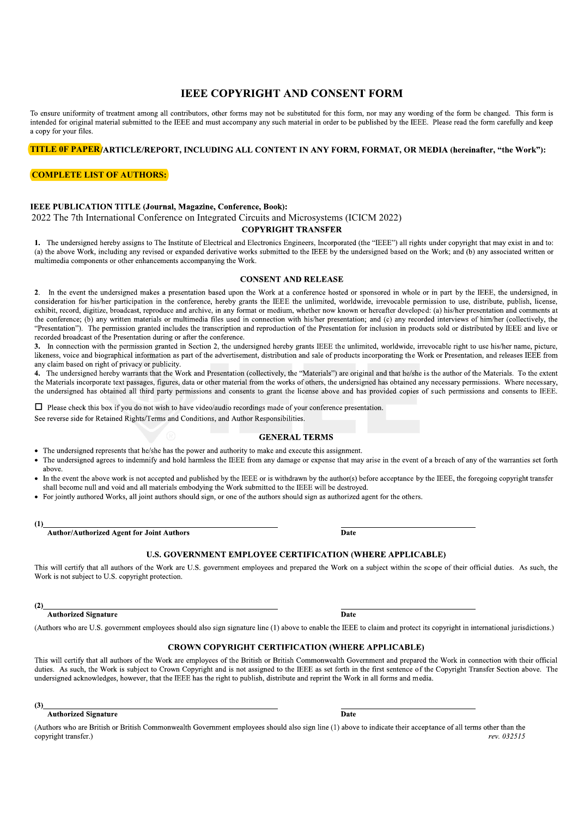# **IEEE COPYRIGHT AND CONSENT FORM**

To ensure uniformity of treatment among all contributors, other forms may not be substituted for this form, nor may any wording of the form be changed. This form is intended for original material submitted to the IEEE and must accompany any such material in order to be published by the IEEE. Please read the form carefully and keep a copy for your files.

### **TITLE OF PAPER/ARTICLE/REPORT, INCLUDING ALL CONTENT IN ANY FORM, FORMAT, OR MEDIA (hereinafter, "the Work"):**

## **COMPLETE LIST OF AUTHORS:**

# IEEE PUBLICATION TITLE (Journal, Magazine, Conference, Book):

## 2022 The 7th International Conference on Integrated Circuits and Microsystems (ICICM 2022) **COPYRIGHT TRANSFER**

1. The undersigned hereby assigns to The Institute of Electrical and Electronics Engineers, Incorporated (the "IEEE") all rights under copyright that may exist in and to: (a) the above Work, including any revised or expanded derivative works submitted to the IEEE by the undersigned based on the Work; and (b) any associated written or multimedia components or other enhancements accompanying the Work.

### **CONSENT AND RELEASE**

2. In the event the undersigned makes a presentation based upon the Work at a conference hosted or sponsored in whole or in part by the IEEE, the undersigned, in consideration for his/her participation in the conference, hereby grants the IEEE the unlimited, worldwide, irrevocable permission to use, distribute, publish, license, exhibit, record, digitize, broadcast, reproduce and archive, in any format or medium, whether now known or hereafter developed: (a) his/her presentation and comments at the conference; (b) any written materials or multimedia files used in connection with his/her presentation; and (c) any recorded interviews of him/her (collectively, the "Presentation"). The permission granted includes the transcription and reproduction of the Presentation for inclusion in products sold or distributed by IEEE and live or recorded broadcast of the Presentation during or after the conference.

3. In connection with the permission granted in Section 2, the undersigned hereby grants IEEE the unlimited, worldwide, irrevocable right to use his/her name, picture, likeness, voice and biographical information as part of the advertisement, distribution and sale of products incorporating the Work or Presentation, and releases IEEE from any claim based on right of privacy or publicity.

4. The undersigned hereby warrants that the Work and Presentation (collectively, the "Materials") are original and that he/she is the author of the Materials. To the extent the Materials incorporate text passages, figures, data or other material from the works of others, the undersigned has obtained any necessary permissions. Where necessary, the undersigned has obtained all third party permissions and consents to grant the license above and has provided copies of such permissions and consents to IEEE.

 $\Box$  Please check this box if you do not wish to have video/audio recordings made of your conference presentation.

See reverse side for Retained Rights/Terms and Conditions, and Author Responsibilities.

### **GENERAL TERMS**

- The undersigned represents that he/she has the power and authority to make and execute this assignment.
- The undersigned agrees to indemnify and hold harmless the IEEE from any damage or expense that may arise in the event of a breach of any of the warranties set forth above.
- In the event the above work is not accepted and published by the IEEE or is withdrawn by the author(s) before acceptance by the IEEE, the foregoing copyright transfer shall become null and void and all materials embodying the Work submitted to the IEEE will be destroyed.
- For jointly authored Works, all joint authors should sign, or one of the authors should sign as authorized agent for the others.
- $(1)$

**Author/Authorized Agent for Joint Authors** 

## U.S. GOVERNMENT EMPLOYEE CERTIFICATION (WHERE APPLICABLE)

This will certify that all authors of the Work are U.S. government employees and prepared the Work on a subject within the scope of their official duties. As such, the Work is not subject to U.S. copyright protection.

#### $(2)$

## **Authorized Signature**

(Authors who are U.S. government employees should also sign signature line (1) above to enable the IEEE to claim and protect its copyright in international jurisdictions.)

## **CROWN COPYRIGHT CERTIFICATION (WHERE APPLICABLE)**

This will certify that all authors of the Work are employees of the British or British Commonwealth Government and prepared the Work in connection with their official duties. As such, the Work is subject to Crown Copyright and is not assigned to the IEEE as set forth in the first sentence of the Copyright Transfer Section above. The undersigned acknowledges, however, that the IEEE has the right to publish, distribute and reprint the Work in all forms and media.

#### $(3)$

### **Authorized Signature**

Date

Date

Date

(Authors who are British or British Commonwealth Government employees should also sign line (1) above to indicate their acceptance of all terms other than the copyright transfer.) rev. 032515